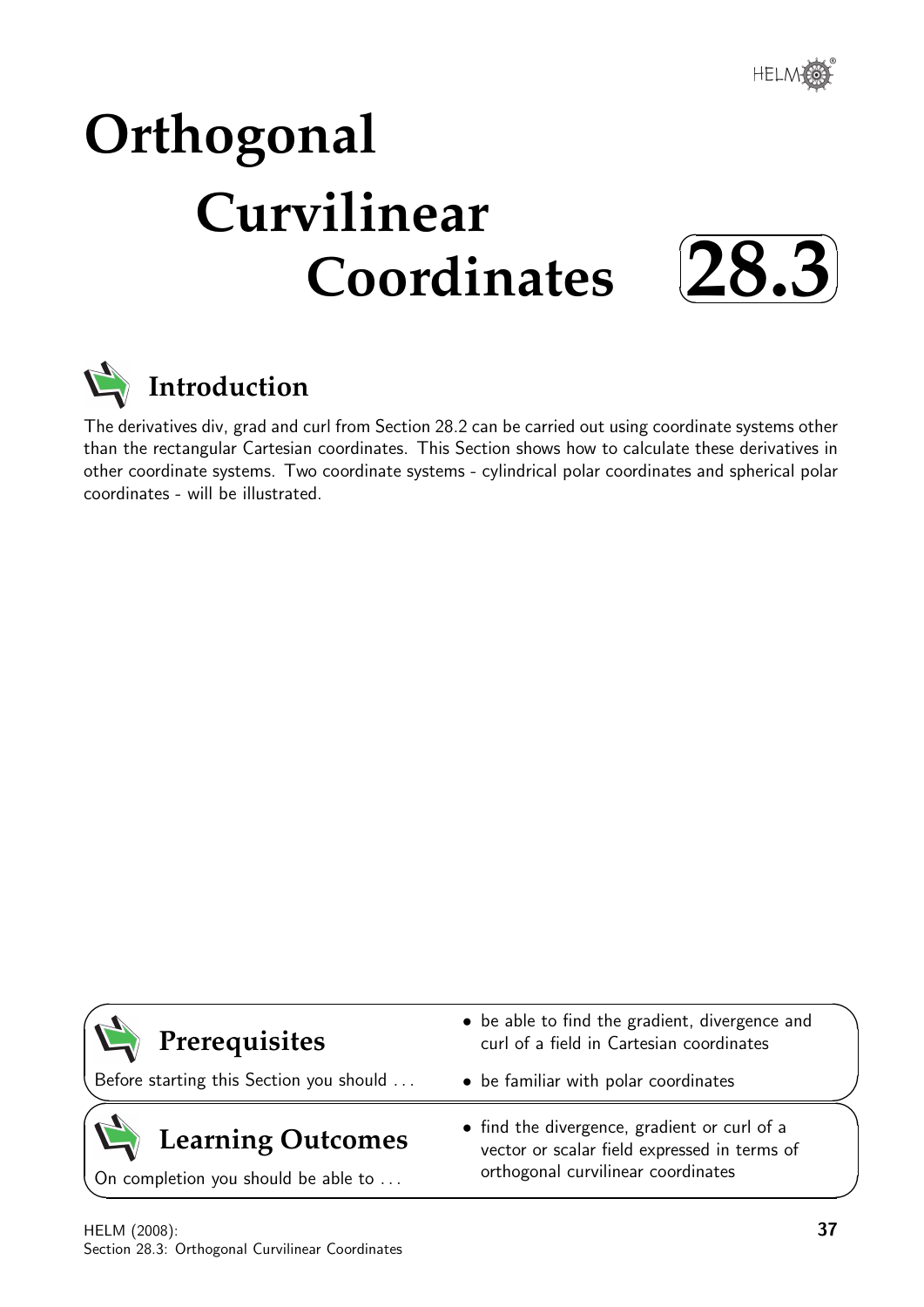

## **Orthogonal Curvilinear Coordinates**





## **Introduction**

The derivatives div, grad and curl from Section 28.2 can be carried out using coordinate systems other than the rectangular Cartesian coordinates. This Section shows how to calculate these derivatives in other coordinate systems. Two coordinate systems - cylindrical polar coordinates and spherical polar coordinates - will be illustrated.

| $\sum$ Prerequisites                    | • be able to find the gradient, divergence and<br>curl of a field in Cartesian coordinates   |
|-----------------------------------------|----------------------------------------------------------------------------------------------|
| Before starting this Section you should | • be familiar with polar coordinates                                                         |
| $\sum$ Learning Outcomes                | • find the divergence, gradient or curl of a<br>vector or scalar field expressed in terms of |

orthogonal curvilinear coordinates

On completion you should be able to ...

 $\overline{\phantom{0}}$ 

HELM (2008): Section 28.3: Orthogonal Curvilinear Coordinates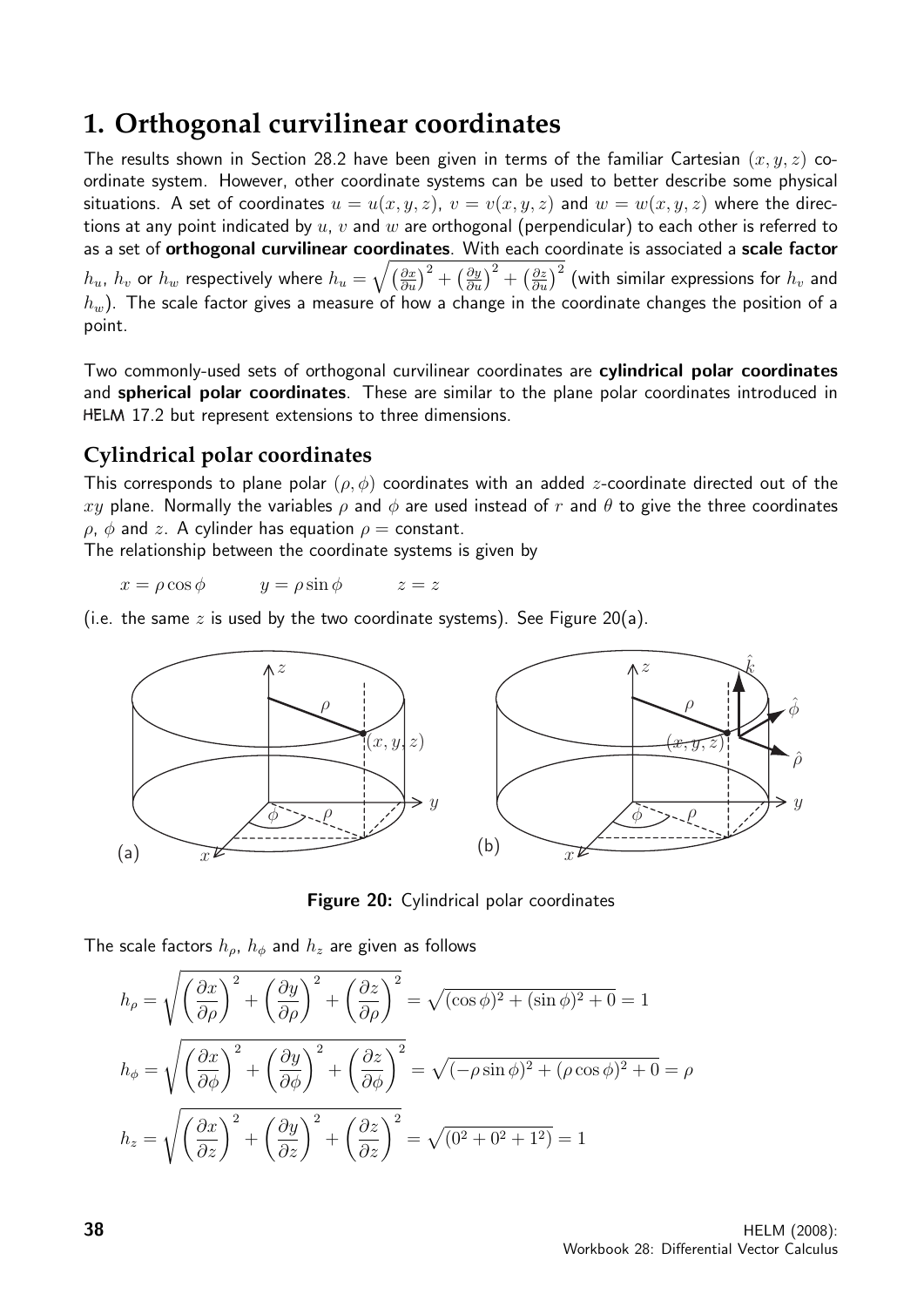## **1. Orthogonal curvilinear coordinates**

The results shown in Section 28.2 have been given in terms of the familiar Cartesian  $(x, y, z)$  coordinate system. However, other coordinate systems can be used to better describe some physical situations. A set of coordinates  $u = u(x, y, z)$ ,  $v = v(x, y, z)$  and  $w = w(x, y, z)$  where the directions at any point indicated by  $u, v$  and  $w$  are orthogonal (perpendicular) to each other is referred to as a set of orthogonal curvilinear coordinates. With each coordinate is associated a scale factor  $h_u$ ,  $h_v$  or  $h_w$  respectively where  $h_u=\sqrt{\left(\frac{\partial x}{\partial u}\right)^2+\left(\frac{\partial y}{\partial u}\right)^2+\left(\frac{\partial z}{\partial u}\right)^2}$  (with similar expressions for  $h_v$  and  $h_w$ ). The scale factor gives a measure of how a change in the coordinate changes the position of a point.

Two commonly-used sets of orthogonal curvilinear coordinates are cylindrical polar coordinates and **spherical polar coordinates**. These are similar to the plane polar coordinates introduced in HELM 17.2 but represent extensions to three dimensions.

## **Cylindrical polar coordinates**

This corresponds to plane polar  $(\rho, \phi)$  coordinates with an added *z*-coordinate directed out of the xy plane. Normally the variables  $\rho$  and  $\phi$  are used instead of r and  $\theta$  to give the three coordinates  $\rho$ ,  $\phi$  and z. A cylinder has equation  $\rho =$  constant.

The relationship between the coordinate systems is given by

 $x = \rho \cos \phi$   $y = \rho \sin \phi$   $z = z$ 

(i.e. the same z is used by the two coordinate systems). See Figure 20(a).



**Figure 20:** Cylindrical polar coordinates

The scale factors  $h_{\rho}$ ,  $h_{\phi}$  and  $h_{z}$  are given as follows

$$
h_{\rho} = \sqrt{\left(\frac{\partial x}{\partial \rho}\right)^{2} + \left(\frac{\partial y}{\partial \rho}\right)^{2} + \left(\frac{\partial z}{\partial \rho}\right)^{2}} = \sqrt{(\cos \phi)^{2} + (\sin \phi)^{2} + 0} = 1
$$
  

$$
h_{\phi} = \sqrt{\left(\frac{\partial x}{\partial \phi}\right)^{2} + \left(\frac{\partial y}{\partial \phi}\right)^{2} + \left(\frac{\partial z}{\partial \phi}\right)^{2}} = \sqrt{(-\rho \sin \phi)^{2} + (\rho \cos \phi)^{2} + 0} = \rho
$$
  

$$
h_{z} = \sqrt{\left(\frac{\partial x}{\partial z}\right)^{2} + \left(\frac{\partial y}{\partial z}\right)^{2} + \left(\frac{\partial z}{\partial z}\right)^{2}} = \sqrt{(0^{2} + 0^{2} + 1^{2})} = 1
$$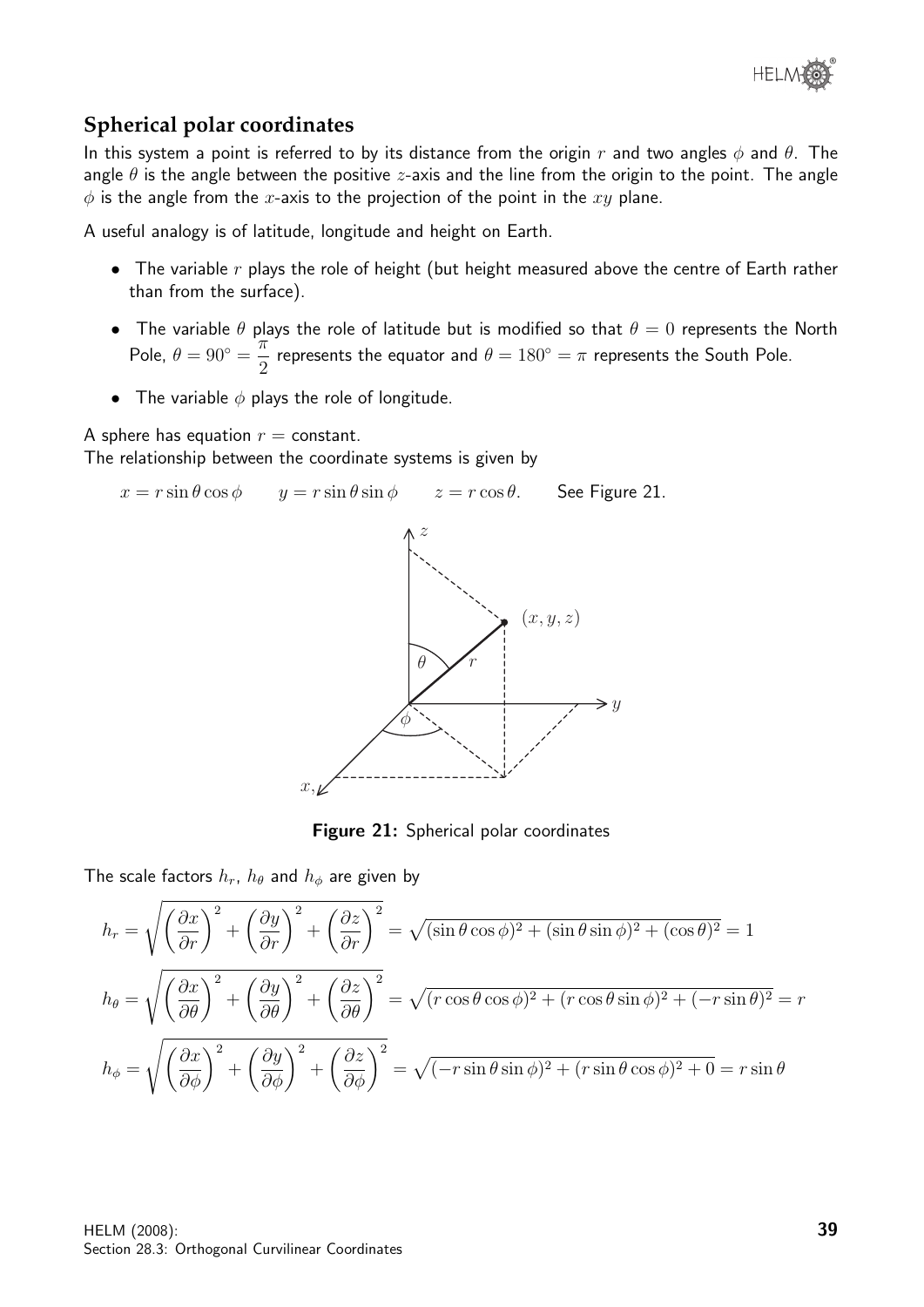## **Spherical polar coordinates**

In this system a point is referred to by its distance from the origin r and two angles  $\phi$  and  $\theta$ . The angle  $\theta$  is the angle between the positive *z*-axis and the line from the origin to the point. The angle  $\phi$  is the angle from the x-axis to the projection of the point in the xy plane.

A useful analogy is of latitude, longitude and height on Earth.

- The variable  $r$  plays the role of height (but height measured above the centre of Earth rather than from the surface).
- The variable  $\theta$  plays the role of latitude but is modified so that  $\theta = 0$  represents the North Pole,  $\theta = 90^\circ = \frac{\pi}{2}$ 2 represents the equator and  $\theta = 180^\circ = \pi$  represents the South Pole.
- The variable  $\phi$  plays the role of longitude.

A sphere has equation  $r =$  constant. The relationship between the coordinate systems is given by



Figure 21: Spherical polar coordinates

The scale factors  $h_r$ ,  $h_\theta$  and  $h_\phi$  are given by

$$
h_r = \sqrt{\left(\frac{\partial x}{\partial r}\right)^2 + \left(\frac{\partial y}{\partial r}\right)^2 + \left(\frac{\partial z}{\partial r}\right)^2} = \sqrt{(\sin \theta \cos \phi)^2 + (\sin \theta \sin \phi)^2 + (\cos \theta)^2} = 1
$$
  
\n
$$
h_\theta = \sqrt{\left(\frac{\partial x}{\partial \theta}\right)^2 + \left(\frac{\partial y}{\partial \theta}\right)^2 + \left(\frac{\partial z}{\partial \theta}\right)^2} = \sqrt{(r \cos \theta \cos \phi)^2 + (r \cos \theta \sin \phi)^2 + (-r \sin \theta)^2} = r
$$
  
\n
$$
h_\phi = \sqrt{\left(\frac{\partial x}{\partial \phi}\right)^2 + \left(\frac{\partial y}{\partial \phi}\right)^2 + \left(\frac{\partial z}{\partial \phi}\right)^2} = \sqrt{(-r \sin \theta \sin \phi)^2 + (r \sin \theta \cos \phi)^2 + 0} = r \sin \theta
$$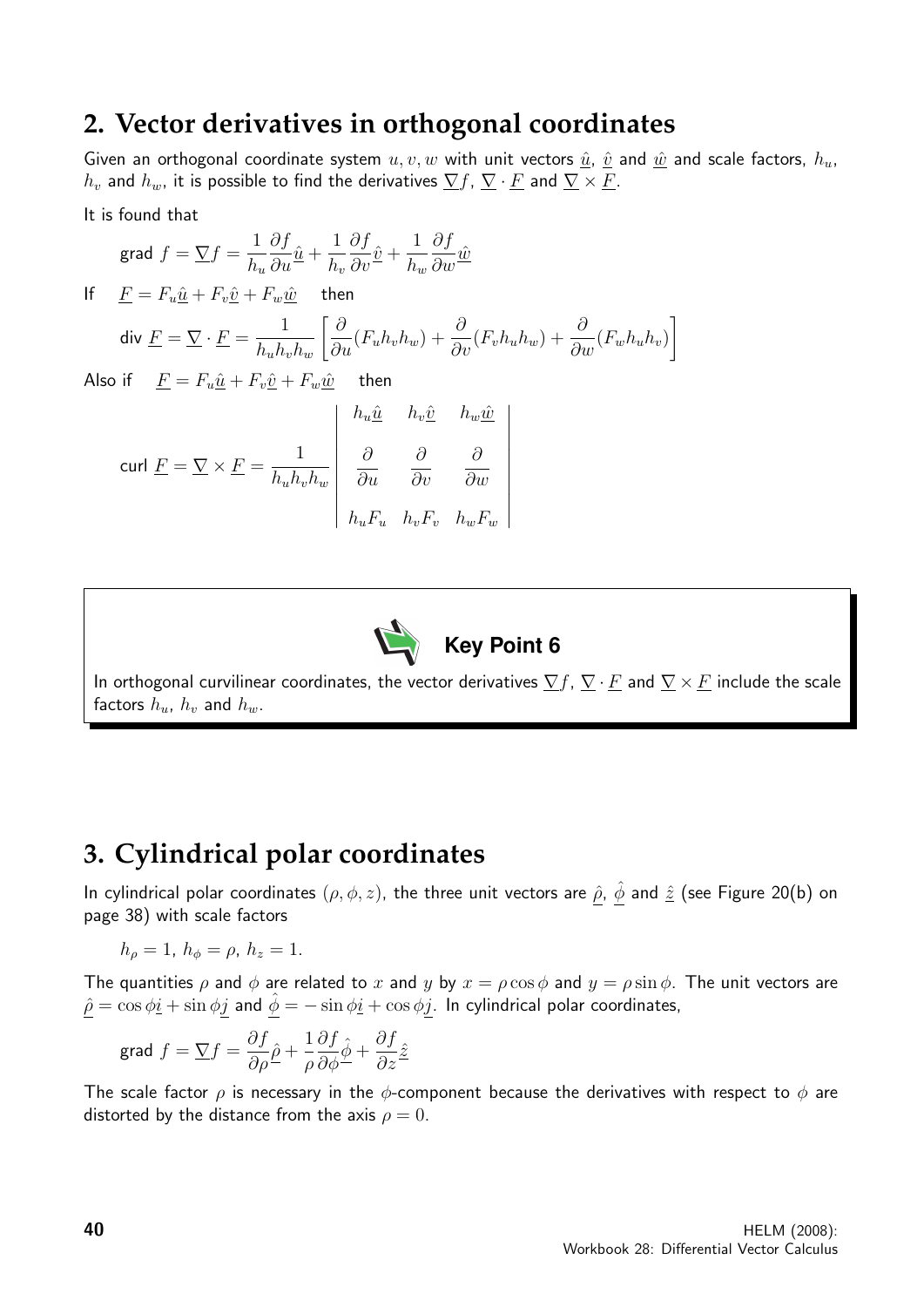## **2. Vector derivatives in orthogonal coordinates**

Given an orthogonal coordinate system  $u, v, w$  with unit vectors  $\hat{u}$ ,  $\hat{v}$  and  $\hat{w}$  and scale factors,  $h_u$ ,  $h_v$  and  $h_w$ , it is possible to find the derivatives  $\nabla f$ ,  $\nabla \cdot F$  and  $\nabla \times F$ .

It is found that

$$
\text{grad } f = \nabla f = \frac{1}{h_u} \frac{\partial f}{\partial u} \hat{\underline{u}} + \frac{1}{h_v} \frac{\partial f}{\partial v} \hat{\underline{v}} + \frac{1}{h_w} \frac{\partial f}{\partial w} \hat{\underline{w}}
$$

If  $F = F_u \hat{u} + F_v \hat{v} + F_w \hat{w}$  then div  $\underline{F} = \underline{\nabla} \cdot \underline{F} = \frac{1}{1 - I}$  $h_u h_v h_w$  $\left[\frac{\partial}{\partial u}(F_u h_v h_w) + \frac{\partial}{\partial v}(F_v h_u h_w) + \frac{\partial}{\partial w}(F_w h_u h_v)\right]$ 1

Also if  $\underline{F} = F_u \hat{\underline{u}} + F_v \hat{\underline{v}} + F_w \hat{\underline{w}}$  then

$$
\text{curl } \underline{F} = \nabla \times \underline{F} = \frac{1}{h_u h_v h_w} \begin{vmatrix} h_u \hat{u} & h_v \hat{v} & h_w \hat{w} \\ \frac{\partial}{\partial u} & \frac{\partial}{\partial v} & \frac{\partial}{\partial w} \\ h_u F_u & h_v F_v & h_w F_w \end{vmatrix}
$$



In orthogonal curvilinear coordinates, the vector derivatives  $\nabla f$ ,  $\nabla \cdot F$  and  $\nabla \times F$  include the scale factors  $h_u$ ,  $h_v$  and  $h_w$ .

## **3. Cylindrical polar coordinates**

In cylindrical polar coordinates  $(\rho, \phi, z)$ , the three unit vectors are  $\hat{\rho}$ ,  $\hat{\phi}$  and  $\hat{z}$  (see Figure 20(b) on page 38) with scale factors

$$
h_{\rho} = 1, h_{\phi} = \rho, h_z = 1.
$$

The quantities  $\rho$  and  $\phi$  are related to x and y by  $x = \rho \cos \phi$  and  $y = \rho \sin \phi$ . The unit vectors are  $\hat{\rho} = \cos \phi \hat{i} + \sin \phi j$  and  $\hat{\phi} = -\sin \phi \hat{i} + \cos \phi j$ . In cylindrical polar coordinates,

grad 
$$
f = \nabla f = \frac{\partial f}{\partial \rho} \hat{\rho} + \frac{1}{\rho} \frac{\partial f}{\partial \phi} \hat{\phi} + \frac{\partial f}{\partial z} \hat{z}
$$

The scale factor  $\rho$  is necessary in the  $\phi$ -component because the derivatives with respect to  $\phi$  are distorted by the distance from the axis  $\rho = 0$ .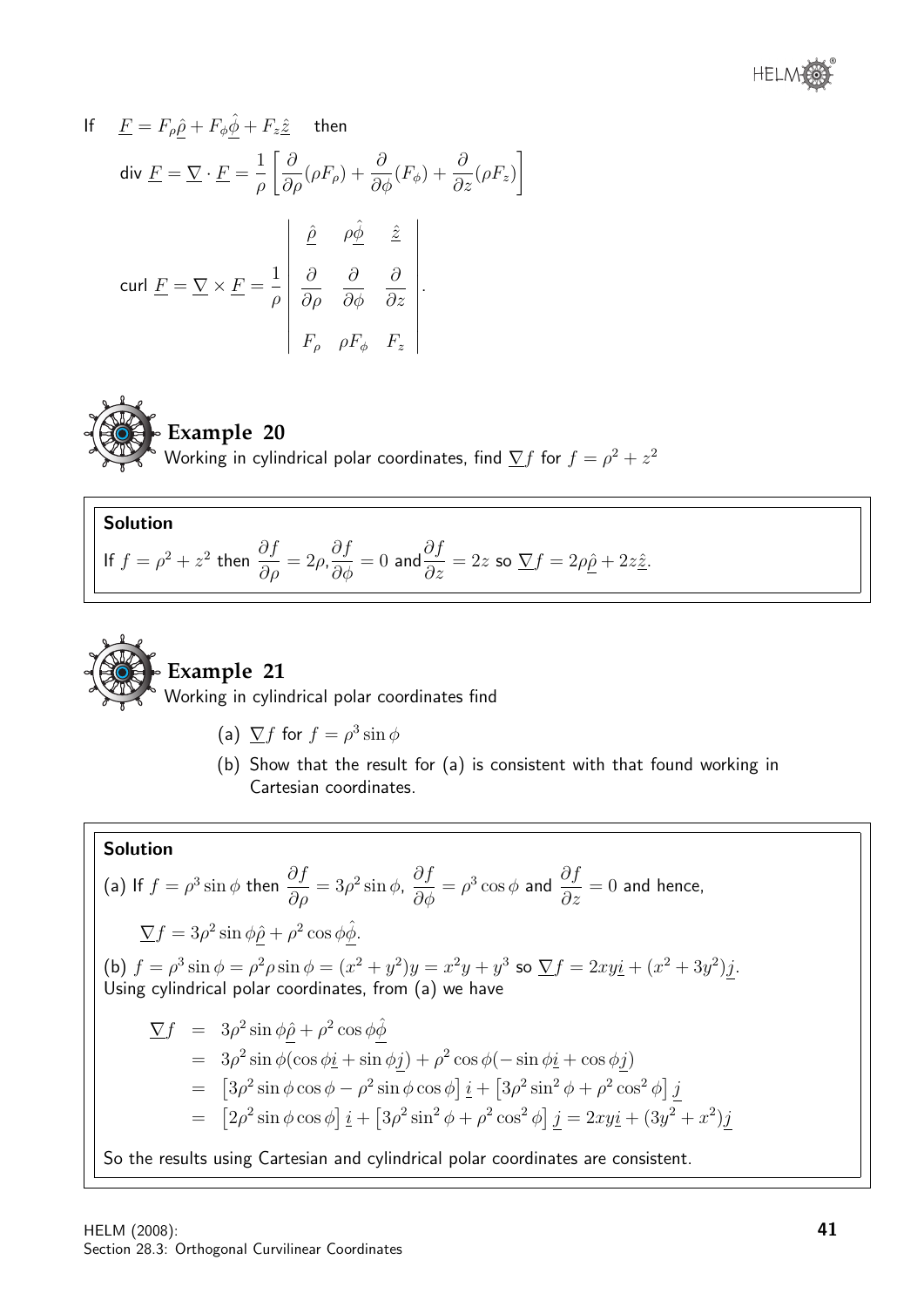

If 
$$
\underline{F} = F_{\rho} \hat{\underline{\rho}} + F_{\phi} \hat{\underline{\phi}} + F_{z} \hat{\underline{z}}
$$
 then  
\ndiv  $\underline{F} = \nabla \cdot \underline{F} = \frac{1}{\rho} \left[ \frac{\partial}{\partial \rho} (\rho F_{\rho}) + \frac{\partial}{\partial \phi} (F_{\phi}) + \frac{\partial}{\partial z} (\rho F_{z}) \right]$   
\ncurl  $\underline{F} = \nabla \times \underline{F} = \frac{1}{\rho} \begin{vmatrix} \hat{\underline{\rho}} & \rho \hat{\underline{\phi}} & \hat{\underline{z}} \\ \frac{\partial}{\partial \rho} & \frac{\partial}{\partial \phi} & \frac{\partial}{\partial z} \\ F_{\rho} & \rho F_{\phi} & F_{z} \end{vmatrix}$ .



**Example 20** Working in cylindrical polar coordinates, find  $\overline{\nabla} f$  for  $f=\rho^2+z^2$ 

### Solution

$$
\text{If } f = \rho^2 + z^2 \text{ then } \frac{\partial f}{\partial \rho} = 2\rho, \frac{\partial f}{\partial \phi} = 0 \text{ and } \frac{\partial f}{\partial z} = 2z \text{ so } \underline{\nabla}f = 2\rho\underline{\hat{\rho}} + 2z\underline{\hat{z}}.
$$



## **Example 21**

Working in cylindrical polar coordinates find

- (a)  $\sum f$  for  $f = \rho^3 \sin \phi$
- (b) Show that the result for (a) is consistent with that found working in Cartesian coordinates.

### Solution

(a) If 
$$
f = \rho^3 \sin \phi
$$
 then  $\frac{\partial f}{\partial \rho} = 3\rho^2 \sin \phi$ ,  $\frac{\partial f}{\partial \phi} = \rho^3 \cos \phi$  and  $\frac{\partial f}{\partial z} = 0$  and hence,  
\n
$$
\nabla f = 3\rho^2 \sin \phi \hat{\rho} + \rho^2 \cos \phi \hat{\phi}.
$$
\n(b)  $f = \rho^3 \sin \phi = \rho^2 \rho \sin \phi = (x^2 + y^2)y = x^2y + y^3$  so  $\nabla f = 2xy\hat{\imath} + (x^2 + 3y^2)\hat{\jmath}.$   
\nUsing cylindrical polar coordinates, from (a) we have  
\n
$$
\nabla f = 3\rho^2 \sin \phi \hat{\rho} + \rho^2 \cos \phi \hat{\phi}
$$
\n
$$
= 3\rho^2 \sin \phi (\cos \phi \hat{\imath} + \sin \phi \hat{\jmath}) + \rho^2 \cos \phi (-\sin \phi \hat{\imath} + \cos \phi \hat{\jmath})
$$
\n
$$
= [3\rho^2 \sin \phi \cos \phi - \rho^2 \sin \phi \cos \phi] \hat{\imath} + [3\rho^2 \sin^2 \phi + \rho^2 \cos^2 \phi] \hat{\jmath}
$$
\n
$$
= [2\rho^2 \sin \phi \cos \phi] \hat{\imath} + [3\rho^2 \sin^2 \phi + \rho^2 \cos^2 \phi] \hat{\jmath} = 2xy\hat{\imath} + (3y^2 + x^2)\hat{\jmath}
$$

So the results using Cartesian and cylindrical polar coordinates are consistent.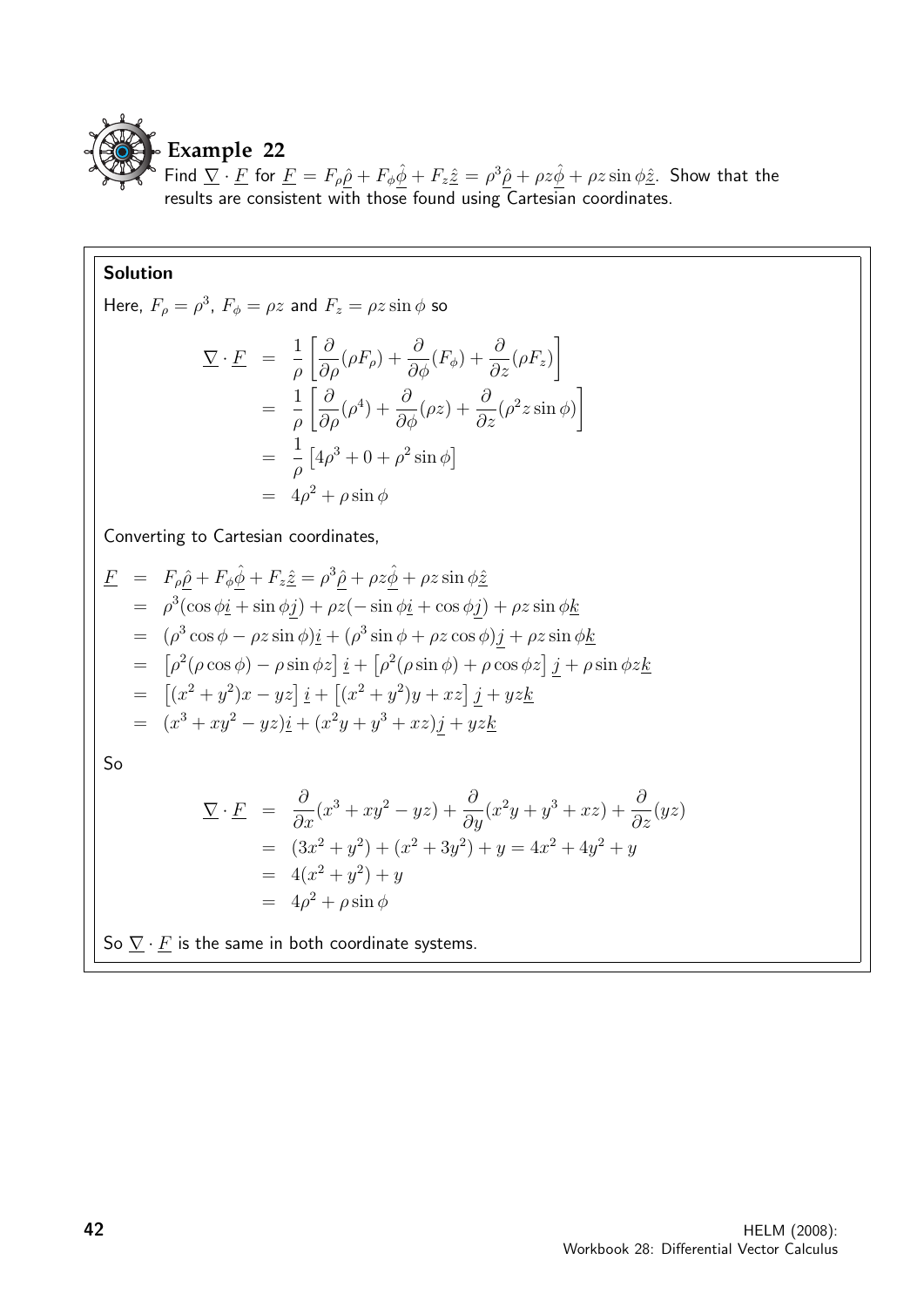

Find  $\overline{\Sigma} \cdot \overline{F}$  for  $\overline{F} = F_{\rho} \hat{\rho} + F_{\phi} \hat{\phi} + F_z \hat{z} = \rho^3 \hat{\rho} + \rho z \hat{\phi} + \rho z \sin \phi \hat{z}$ . Show that the results are consistent with those found using Cartesian coordinates.

#### Solution

Here,  $F_{\rho} = \rho^3$ ,  $F_{\phi} = \rho z$  and  $F_z = \rho z \sin \phi$  so

$$
\begin{aligned}\n\Sigma \cdot \underline{F} &= \frac{1}{\rho} \left[ \frac{\partial}{\partial \rho} (\rho F_{\rho}) + \frac{\partial}{\partial \phi} (F_{\phi}) + \frac{\partial}{\partial z} (\rho F_{z}) \right] \\
&= \frac{1}{\rho} \left[ \frac{\partial}{\partial \rho} (\rho^{4}) + \frac{\partial}{\partial \phi} (\rho z) + \frac{\partial}{\partial z} (\rho^{2} z \sin \phi) \right] \\
&= \frac{1}{\rho} \left[ 4\rho^{3} + 0 + \rho^{2} \sin \phi \right] \\
&= 4\rho^{2} + \rho \sin \phi\n\end{aligned}
$$

Converting to Cartesian coordinates,

$$
\underline{F} = F_{\rho}\hat{\underline{\rho}} + F_{\phi}\hat{\underline{\phi}} + F_{z}\hat{z} = \rho^{3}\hat{\underline{\rho}} + \rho z\hat{\underline{\phi}} + \rho z\sin\phi\hat{z}
$$
\n
$$
= \rho^{3}(\cos\phi\underline{i} + \sin\phi\underline{j}) + \rho z(-\sin\phi\underline{i} + \cos\phi\underline{j}) + \rho z\sin\phi\underline{k}
$$
\n
$$
= (\rho^{3}\cos\phi - \rho z\sin\phi)\underline{i} + (\rho^{3}\sin\phi + \rho z\cos\phi)\underline{j} + \rho z\sin\phi\underline{k}
$$
\n
$$
= [\rho^{2}(\rho\cos\phi) - \rho\sin\phi z]\underline{i} + [\rho^{2}(\rho\sin\phi) + \rho\cos\phi z]\underline{j} + \rho\sin\phi z\underline{k}
$$
\n
$$
= [ (x^{2} + y^{2})x - yz]\underline{i} + [(x^{2} + y^{2})y + xz]\underline{j} + yz\underline{k}
$$
\n
$$
= (x^{3} + xy^{2} - yz)\underline{i} + (x^{2}y + y^{3} + xz)\underline{j} + yz\underline{k}
$$

So

$$
\begin{aligned}\n\nabla \cdot \underline{F} &= \frac{\partial}{\partial x}(x^3 + xy^2 - yz) + \frac{\partial}{\partial y}(x^2y + y^3 + xz) + \frac{\partial}{\partial z}(yz) \\
&= (3x^2 + y^2) + (x^2 + 3y^2) + y = 4x^2 + 4y^2 + y \\
&= 4(x^2 + y^2) + y \\
&= 4\rho^2 + \rho \sin \phi\n\end{aligned}
$$

So  $\underline{\nabla} \cdot \underline{F}$  is the same in both coordinate systems.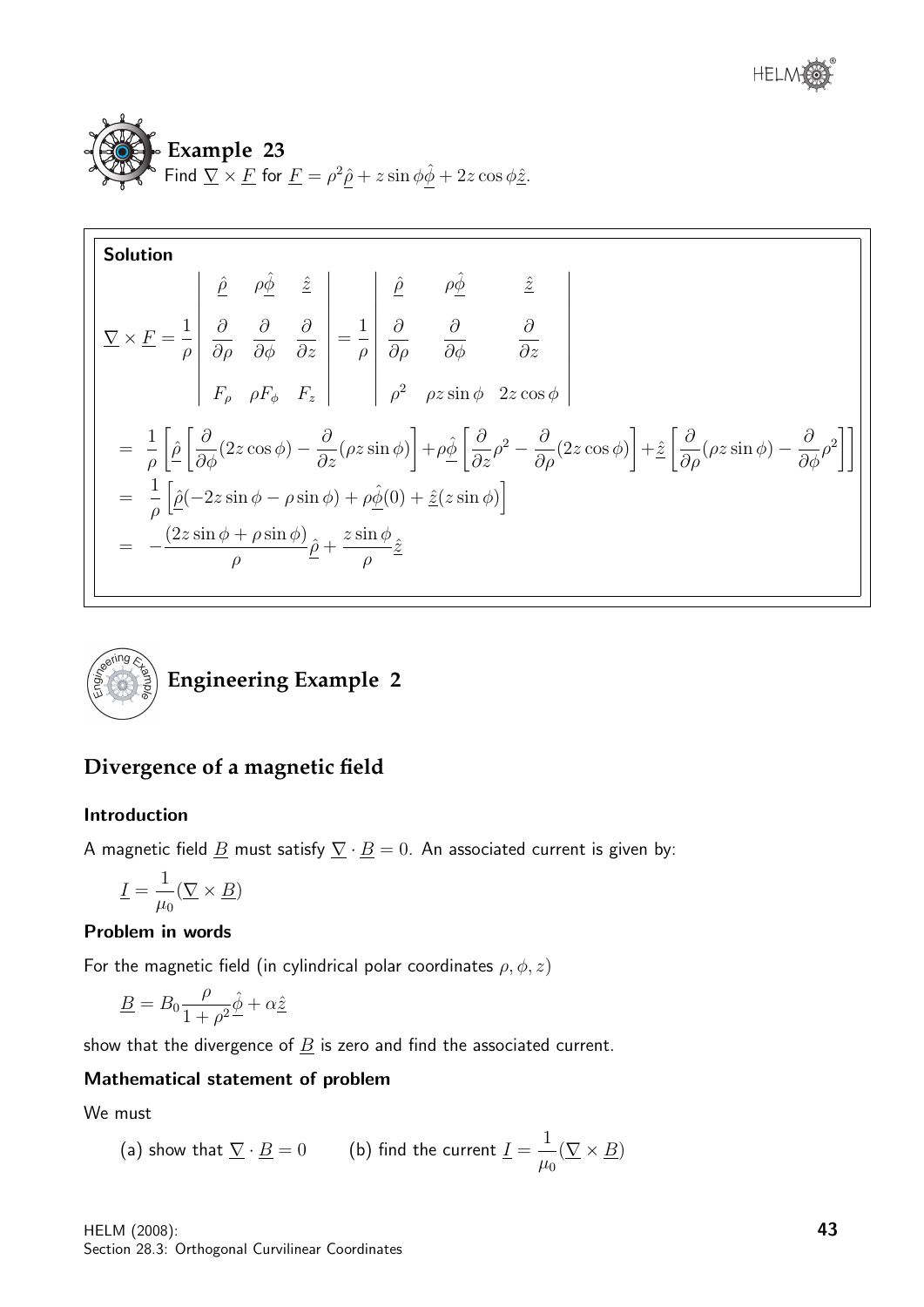

**Solution**  
\n
$$
\nabla \times \underline{F} = \frac{1}{\rho} \begin{vmatrix} \frac{\partial}{\partial \rho} & \frac{\partial}{\partial \phi} & \frac{\partial}{\partial z} \\ \frac{\partial}{\partial \rho} & \frac{\partial}{\partial \phi} & \frac{\partial}{\partial z} \\ F_{\rho} & \rho F_{\phi} & F_{z} \end{vmatrix} = \frac{1}{\rho} \begin{vmatrix} \frac{\partial}{\partial \rho} & \frac{\partial}{\partial \phi} & \frac{\partial}{\partial z} \\ \frac{\partial}{\partial \rho} & \frac{\partial}{\partial \phi} & \frac{\partial}{\partial z} \\ \rho^{2} & \rho z \sin \phi & 2z \cos \phi \end{vmatrix}
$$
\n
$$
= \frac{1}{\rho} \left[ \hat{\rho} \left[ \frac{\partial}{\partial \phi} (2z \cos \phi) - \frac{\partial}{\partial z} (\rho z \sin \phi) \right] + \rho \hat{\phi} \left[ \frac{\partial}{\partial z} \rho^{2} - \frac{\partial}{\partial \rho} (2z \cos \phi) \right] + \hat{z} \left[ \frac{\partial}{\partial \rho} (\rho z \sin \phi) - \frac{\partial}{\partial \phi} \rho^{2} \right] \right]
$$
\n
$$
= \frac{1}{\rho} \left[ \hat{\rho} (-2z \sin \phi - \rho \sin \phi) + \rho \hat{\phi} (0) + \hat{z} (z \sin \phi) \right]
$$
\n
$$
= -\frac{(2z \sin \phi + \rho \sin \phi)}{\rho} \hat{\rho} + \frac{z \sin \phi}{\rho} \hat{z}
$$



## **Divergence of a magnetic field**

#### Introduction

A magnetic field  $\underline{B}$  must satisfy  $\underline{\nabla} \cdot \underline{B} = 0$ . An associated current is given by:

$$
\underline{I}=\frac{1}{\mu_0}(\underline{\nabla}\times \underline{B})
$$

#### Problem in words

For the magnetic field (in cylindrical polar coordinates  $\rho, \phi, z$ )

$$
\underline{B} = B_0 \frac{\rho}{1 + \rho^2} \hat{\underline{\phi}} + \alpha \hat{\underline{z}}
$$

show that the divergence of  $\underline{B}$  is zero and find the associated current.

#### Mathematical statement of problem

We must

(a) show that 
$$
\underline{\nabla} \cdot \underline{B} = 0
$$
 (b) find the current  $\underline{I} = \frac{1}{\mu_0} (\underline{\nabla} \times \underline{B})$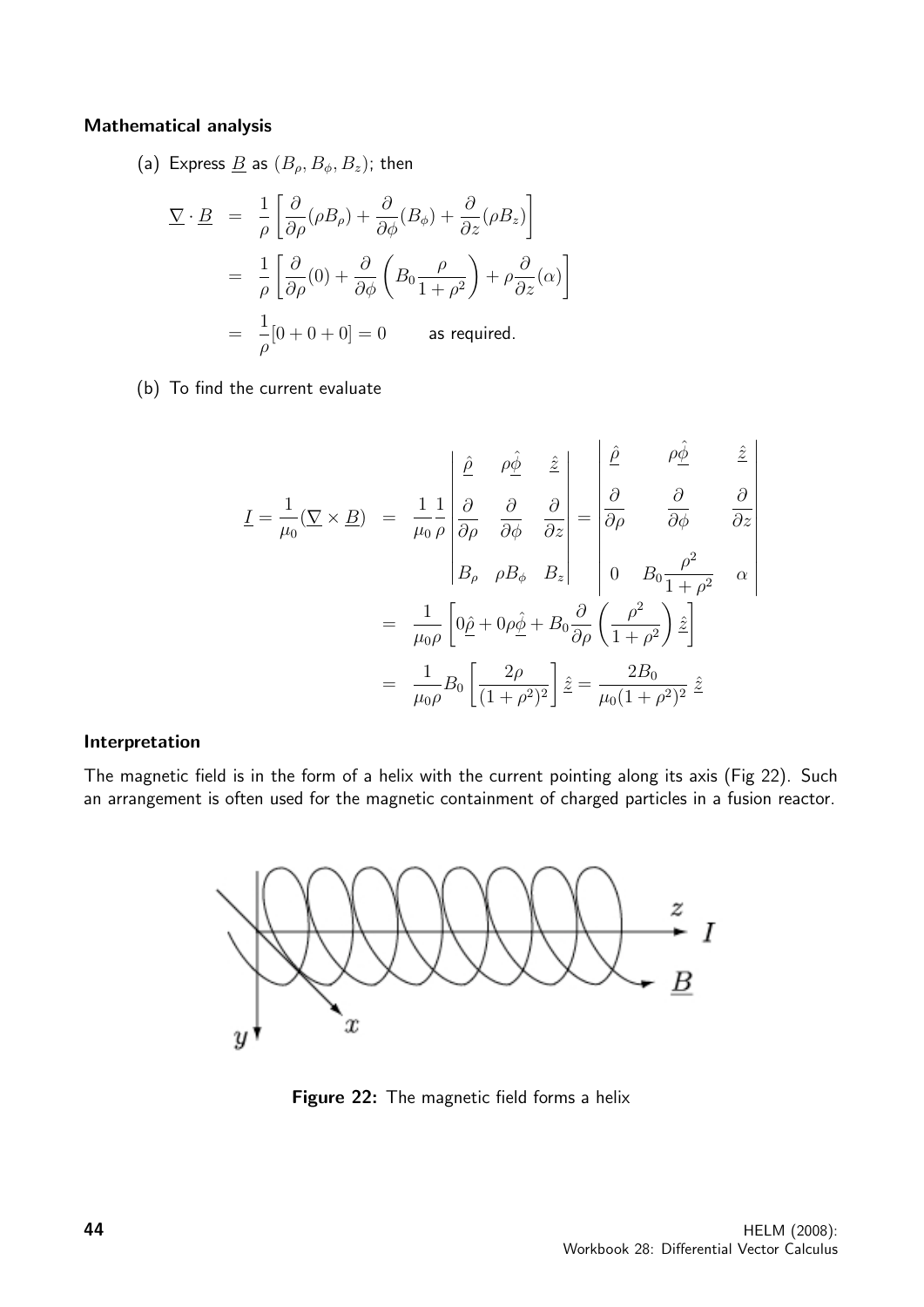#### Mathematical analysis

(a) Express  $\underline{B}$  as  $(B_{\rho}, B_{\phi}, B_{z})$ ; then

$$
\nabla \cdot \underline{B} = \frac{1}{\rho} \left[ \frac{\partial}{\partial \rho} (\rho B_{\rho}) + \frac{\partial}{\partial \phi} (B_{\phi}) + \frac{\partial}{\partial z} (\rho B_{z}) \right]
$$
  
\n
$$
= \frac{1}{\rho} \left[ \frac{\partial}{\partial \rho} (0) + \frac{\partial}{\partial \phi} \left( B_{0} \frac{\rho}{1 + \rho^{2}} \right) + \rho \frac{\partial}{\partial z} (\alpha) \right]
$$
  
\n
$$
= \frac{1}{\rho} [0 + 0 + 0] = 0 \quad \text{as required.}
$$

(b) To find the current evaluate

$$
\underline{I} = \frac{1}{\mu_0} (\nabla \times \underline{B}) = \frac{1}{\mu_0} \frac{1}{\rho} \begin{vmatrix} \hat{\rho} & \rho \hat{\phi} & \hat{z} \\ \frac{\partial}{\partial \rho} & \frac{\partial}{\partial \phi} & \frac{\partial}{\partial z} \\ B_{\rho} & \rho B_{\phi} & B_z \end{vmatrix} = \begin{vmatrix} \hat{\rho} & \rho \hat{\phi} & \hat{z} \\ \frac{\partial}{\partial \rho} & \frac{\partial}{\partial \phi} & \frac{\partial}{\partial z} \\ 0 & B_0 & \frac{\rho^2}{1 + \rho^2} & \alpha \end{vmatrix}
$$

$$
= \frac{1}{\mu_0 \rho} \left[ 0 \hat{\rho} + 0 \rho \hat{\phi} + B_0 \frac{\partial}{\partial \rho} \left( \frac{\rho^2}{1 + \rho^2} \right) \hat{z} \right]
$$

$$
= \frac{1}{\mu_0 \rho} B_0 \left[ \frac{2\rho}{(1 + \rho^2)^2} \right] \hat{z} = \frac{2B_0}{\mu_0 (1 + \rho^2)^2} \hat{z}
$$

#### Interpretation

The magnetic field is in the form of a helix with the current pointing along its axis (Fig 22). Such an arrangement is often used for the magnetic containment of charged particles in a fusion reactor.



Figure 22: The magnetic field forms a helix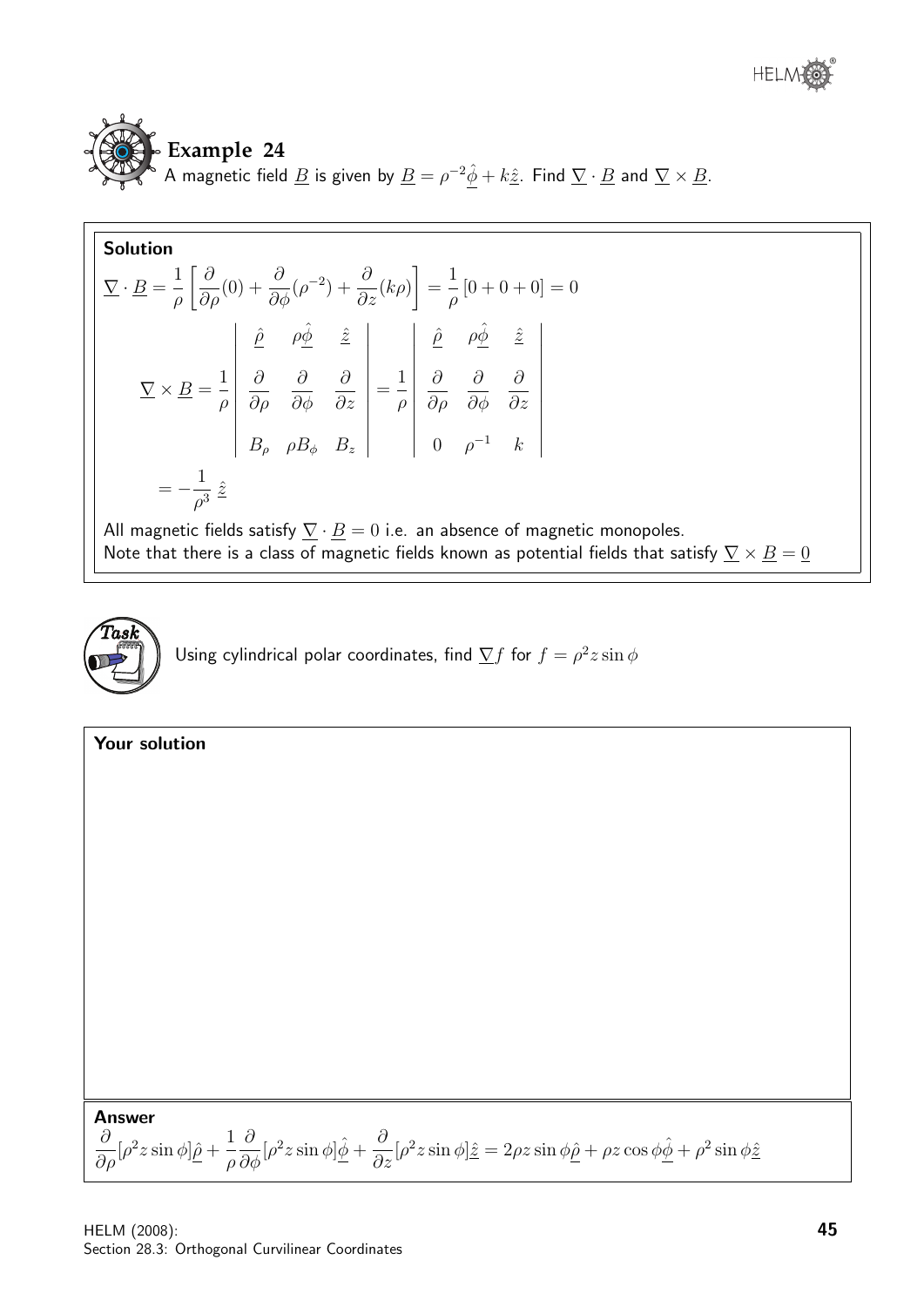

# **Example 24**

A magnetic field <u>B</u> is given by  $\underline{B} = \rho^{-2}\hat{\phi} + k\hat{\underline{z}}$ . Find  $\underline{\nabla} \cdot \underline{B}$  and  $\underline{\nabla} \times \underline{B}$ .

**Solution**  
\n
$$
\nabla \cdot \underline{B} = \frac{1}{\rho} \left[ \frac{\partial}{\partial \rho} (0) + \frac{\partial}{\partial \phi} (\rho^{-2}) + \frac{\partial}{\partial z} (k \rho) \right] = \frac{1}{\rho} [0 + 0 + 0] = 0
$$
\n
$$
\nabla \times \underline{B} = \frac{1}{\rho} \begin{vmatrix} \frac{\partial}{\partial \rho} & \frac{\partial}{\partial \phi} & \frac{\partial}{\partial z} \\ \frac{\partial}{\partial \rho} & \frac{\partial}{\partial \phi} & \frac{\partial}{\partial z} \\ B_{\rho} & \rho B_{\phi} & B_{z} \end{vmatrix} = \frac{1}{\rho} \begin{vmatrix} \frac{\partial}{\partial \rho} & \frac{\partial}{\partial \phi} & \frac{\partial}{\partial z} \\ \frac{\partial}{\partial \rho} & \frac{\partial}{\partial \phi} & \frac{\partial}{\partial z} \\ 0 & \rho^{-1} & k \end{vmatrix}
$$
\n
$$
= -\frac{1}{\rho^3} \hat{z}
$$

All magnetic fields satisfy  $\underline{\nabla} \cdot \underline{B} = 0$  i.e. an absence of magnetic monopoles. Note that there is a class of magnetic fields known as potential fields that satisfy  $\underline{\nabla} \times \underline{B} = \underline{0}$ 



| Your solution                                                                                                                                                                                                                                                                                                                                                             |
|---------------------------------------------------------------------------------------------------------------------------------------------------------------------------------------------------------------------------------------------------------------------------------------------------------------------------------------------------------------------------|
|                                                                                                                                                                                                                                                                                                                                                                           |
|                                                                                                                                                                                                                                                                                                                                                                           |
|                                                                                                                                                                                                                                                                                                                                                                           |
|                                                                                                                                                                                                                                                                                                                                                                           |
|                                                                                                                                                                                                                                                                                                                                                                           |
|                                                                                                                                                                                                                                                                                                                                                                           |
|                                                                                                                                                                                                                                                                                                                                                                           |
|                                                                                                                                                                                                                                                                                                                                                                           |
|                                                                                                                                                                                                                                                                                                                                                                           |
|                                                                                                                                                                                                                                                                                                                                                                           |
|                                                                                                                                                                                                                                                                                                                                                                           |
|                                                                                                                                                                                                                                                                                                                                                                           |
|                                                                                                                                                                                                                                                                                                                                                                           |
| <b>Answer</b>                                                                                                                                                                                                                                                                                                                                                             |
| $\frac{\partial}{\partial \rho}[\rho^2 z \sin \phi] \hat{\underline{\rho}} + \frac{1}{\rho} \frac{\partial}{\partial \phi}[\rho^2 z \sin \phi] \hat{\underline{\phi}} + \frac{\partial}{\partial z}[\rho^2 z \sin \phi] \hat{\underline{z}} = 2 \rho z \sin \phi \hat{\underline{\rho}} + \rho z \cos \phi \hat{\underline{\phi}} + \rho^2 \sin \phi \hat{\underline{z}}$ |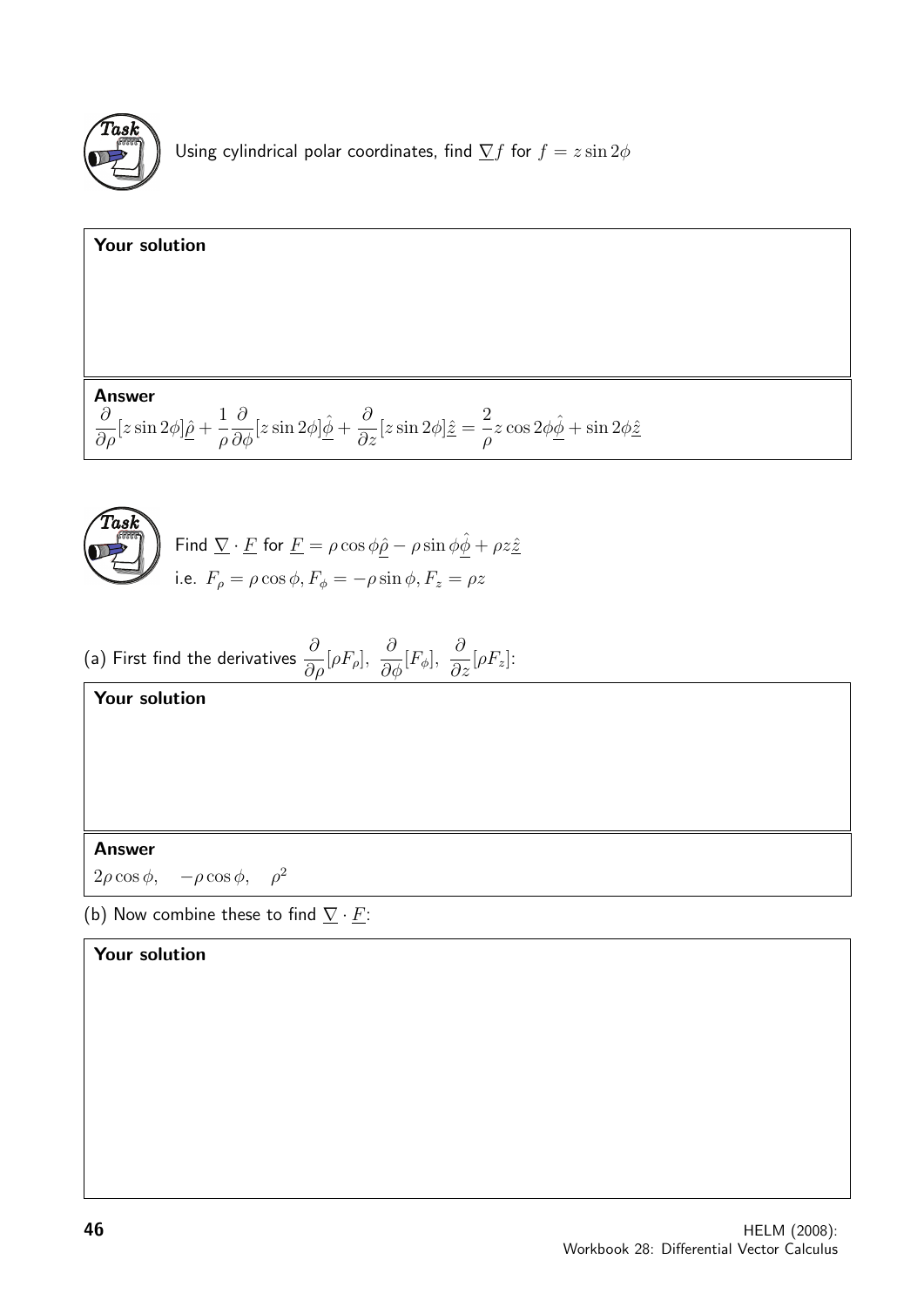

Using cylindrical polar coordinates, find  $\sum f$  for  $f = z \sin 2\phi$ 

| Your solution                                                                                                                                                                                                                                                                                   |
|-------------------------------------------------------------------------------------------------------------------------------------------------------------------------------------------------------------------------------------------------------------------------------------------------|
|                                                                                                                                                                                                                                                                                                 |
|                                                                                                                                                                                                                                                                                                 |
|                                                                                                                                                                                                                                                                                                 |
| <b>Answer</b><br>$\frac{\partial}{\partial \rho}[z\sin 2\phi]\hat{\underline{\rho}} + \frac{1}{\rho}\frac{\partial}{\partial \phi}[z\sin 2\phi]\hat{\underline{\phi}} + \frac{\partial}{\partial z}[z\sin 2\phi]\hat{z} = -\frac{2}{\rho}z\cos 2\phi\hat{\underline{\phi}} + \sin 2\phi\hat{z}$ |
|                                                                                                                                                                                                                                                                                                 |
| Task<br>Find $\nabla \cdot \underline{F}$ for $\underline{F} = \rho \cos \phi \hat{\rho} - \rho \sin \phi \hat{\phi} + \rho z \hat{z}$<br>i.e. $F_{\rho} = \rho \cos \phi$ , $F_{\phi} = -\rho \sin \phi$ , $F_{z} = \rho z$                                                                    |
|                                                                                                                                                                                                                                                                                                 |
| (a) First find the derivatives $\frac{\partial}{\partial \rho}[\rho F_{\rho}], \frac{\partial}{\partial \phi}[F_{\phi}], \frac{\partial}{\partial z}[\rho F_{z}]$ :                                                                                                                             |
| <b>Your solution</b>                                                                                                                                                                                                                                                                            |
|                                                                                                                                                                                                                                                                                                 |
|                                                                                                                                                                                                                                                                                                 |
|                                                                                                                                                                                                                                                                                                 |
| <b>Answer</b>                                                                                                                                                                                                                                                                                   |

 $2\rho \cos \phi$ ,  $-\rho \cos \phi$ ,  $\rho^2$ 

(b) Now combine these to find  $\underline{\nabla} \cdot \underline{F}$ :

## Your solution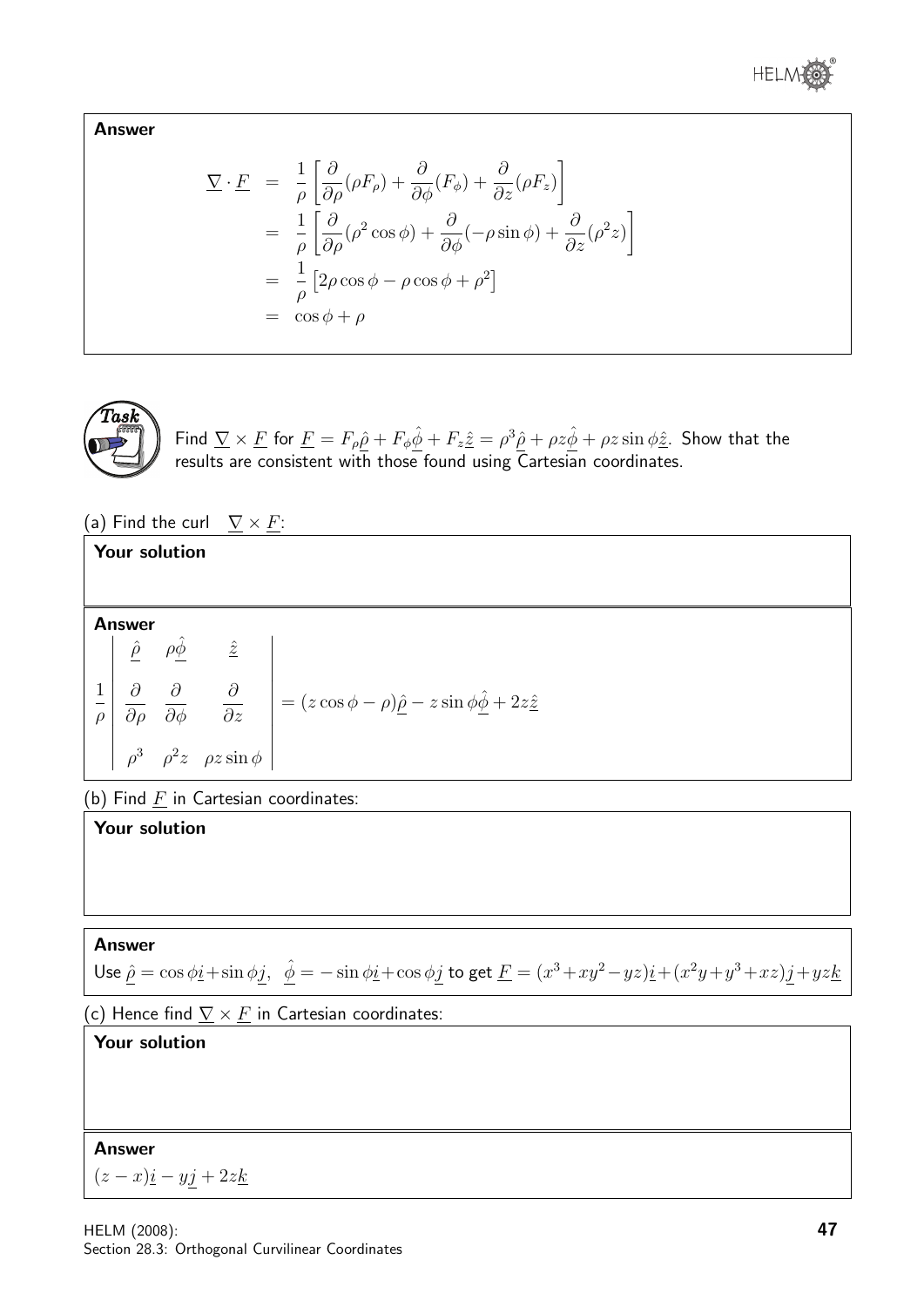

Answer

$$
\nabla \cdot \underline{F} = \frac{1}{\rho} \left[ \frac{\partial}{\partial \rho} (\rho F_{\rho}) + \frac{\partial}{\partial \phi} (F_{\phi}) + \frac{\partial}{\partial z} (\rho F_{z}) \right]
$$
  
\n
$$
= \frac{1}{\rho} \left[ \frac{\partial}{\partial \rho} (\rho^{2} \cos \phi) + \frac{\partial}{\partial \phi} (-\rho \sin \phi) + \frac{\partial}{\partial z} (\rho^{2} z) \right]
$$
  
\n
$$
= \frac{1}{\rho} \left[ 2\rho \cos \phi - \rho \cos \phi + \rho^{2} \right]
$$
  
\n
$$
= \cos \phi + \rho
$$



Find  $\nabla \times \underline{F}$  for  $\underline{F} = F_\rho \hat{\rho} + F_\phi \hat{\phi} + F_z \hat{\underline{z}} = \rho^3 \hat{\rho} + \rho z \hat{\phi} + \rho z \sin \phi \hat{\underline{z}}$ . Show that the results are consistent with those found using Cartesian coordinates.

(a) Find the curl  $\nabla \times F$ :

#### Your solution Answer 1 ρ  $\overline{\phantom{a}}$   $\vert$  $\hat{\rho}$   $\rho \hat{\phi}$   $\hat{z}$  $\partial$ ∂ρ  $\partial$  $\partial \phi$ ∂ ∂z  $\rho^3$   $\rho^2 z$   $\rho z \sin \phi$  |  $\Big\}$   $=(z \cos \phi - \rho)\hat{\rho} - z \sin \phi \hat{\phi} + 2z\hat{z}$

(b) Find  $\underline{F}$  in Cartesian coordinates:

#### Your solution

#### Answer

Use 
$$
\hat{\rho} = \cos \phi \hat{i} + \sin \phi \hat{j}
$$
,  $\hat{\phi} = -\sin \phi \hat{i} + \cos \phi \hat{j}$  to get  $\underline{F} = (x^3 + xy^2 - yz)\hat{i} + (x^2y + y^3 + xz)\hat{j} + yz\hat{k}$ 

(c) Hence find  $\nabla \times F$  in Cartesian coordinates:

## Your solution

#### Answer

 $(z - x)\underline{i} - y\underline{j} + 2z\underline{k}$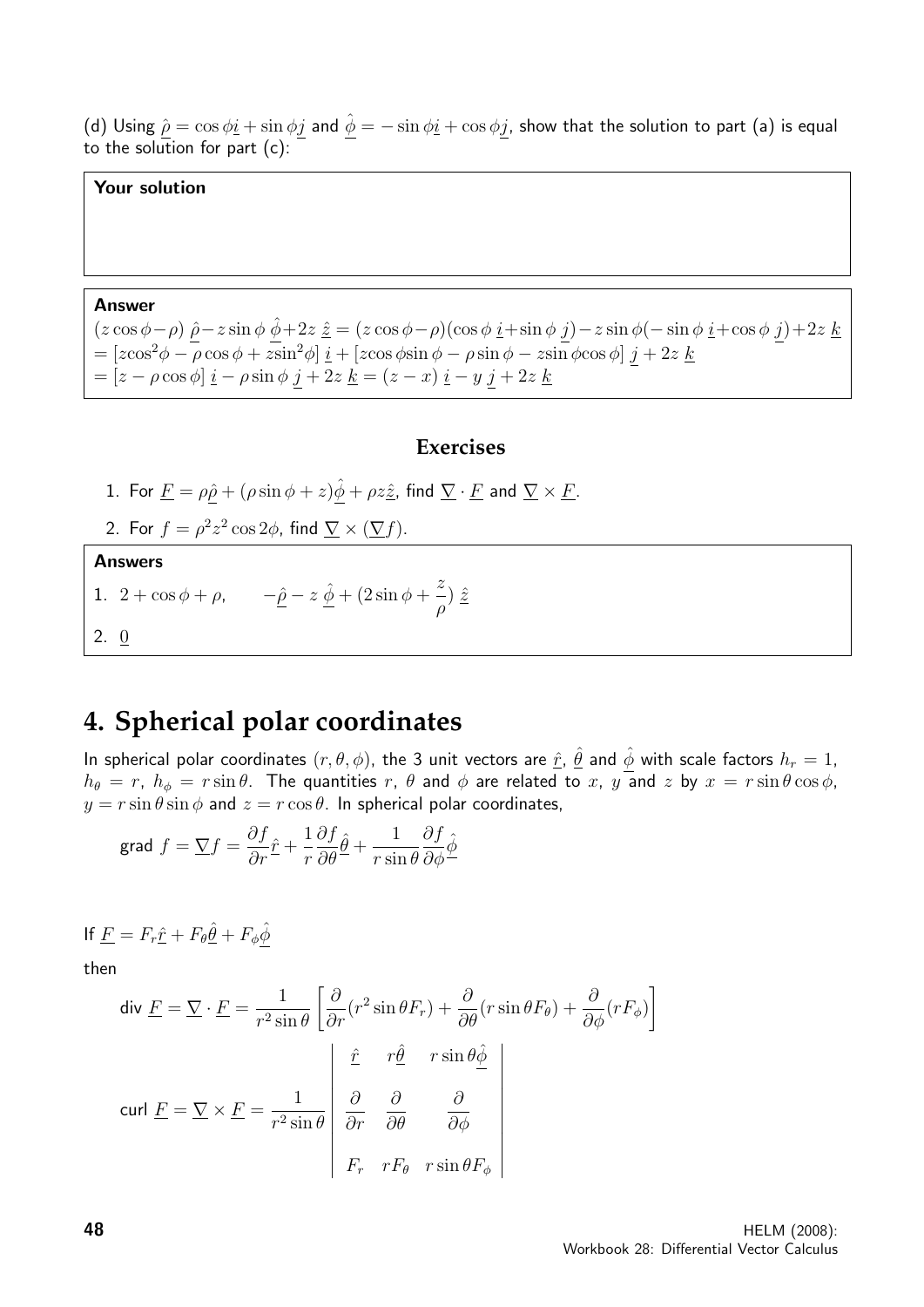(d) Using  $\hat{\rho} = \cos \phi \hat{i} + \sin \phi j$  and  $\hat{\phi} = -\sin \phi \hat{i} + \cos \phi j$ , show that the solution to part (a) is equal to the solution for part  $(c)$ :

#### Your solution

#### Answer

 $(z \cos \phi - \rho) \hat{\rho} - z \sin \phi \hat{\phi} + 2z \hat{z} = (z \cos \phi - \rho)(\cos \phi \hat{i} + \sin \phi \hat{j}) - z \sin \phi (- \sin \phi \hat{i} + \cos \phi \hat{j}) + 2z \hat{k}$  $= [z\cos^2\phi - \rho\cos\phi + z\sin^2\phi] \underline{i} + [z\cos\phi\sin\phi - \rho\sin\phi - z\sin\phi\cos\phi] \underline{j} + 2z \underline{k}$  $= [z - \rho \cos \phi] \underline{i} - \rho \sin \phi \underline{j} + 2z \underline{k} = (z - x) \underline{i} - y \underline{j} + 2z \underline{k}$ 

#### **Exercises**

- 1. For  $\underline{F} = \rho \hat{\rho} + (\rho \sin \phi + z) \hat{\underline{\phi}} + \rho z \hat{\underline{z}}$ , find  $\underline{\nabla} \cdot \underline{F}$  and  $\underline{\nabla} \times \underline{F}$ .
- 2. For  $f = \rho^2 z^2 \cos 2\phi$ , find  $\nabla \times (\nabla f)$ .

#### **Answers**

- 1.  $2 + \cos \phi + \rho$ ,  $-\hat{\rho} z \hat{\phi} + (2 \sin \phi + \frac{z}{\phi})$ ρ  $\frac{\hat{z}}{2}$
- 2.  $Q$

## **4. Spherical polar coordinates**

In spherical polar coordinates  $(r,\theta,\phi)$ , the 3 unit vectors are  $\hat{r}$ ,  $\hat{\theta}$  and  $\hat{\phi}$  with scale factors  $h_r=1$ ,  $h_{\theta} = r$ ,  $h_{\phi} = r \sin \theta$ . The quantities r,  $\theta$  and  $\phi$  are related to x,  $y$  and z by  $x = r \sin \theta \cos \phi$ ,  $y = r \sin \theta \sin \phi$  and  $z = r \cos \theta$ . In spherical polar coordinates,

grad 
$$
f = \nabla f = \frac{\partial f}{\partial r}\hat{r} + \frac{1}{r}\frac{\partial f}{\partial \theta}\hat{\theta} + \frac{1}{r\sin\theta}\frac{\partial f}{\partial \phi}\hat{\phi}
$$

If 
$$
\underline{F} = F_r \hat{\underline{r}} + F_\theta \hat{\underline{\theta}} + F_\phi \hat{\underline{\phi}}
$$

then

$$
\text{div } \underline{F} = \nabla \cdot \underline{F} = \frac{1}{r^2 \sin \theta} \left[ \frac{\partial}{\partial r} (r^2 \sin \theta F_r) + \frac{\partial}{\partial \theta} (r \sin \theta F_\theta) + \frac{\partial}{\partial \phi} (r F_\phi) \right]
$$
\n
$$
\text{curl } \underline{F} = \nabla \times \underline{F} = \frac{1}{r^2 \sin \theta} \begin{vmatrix} \hat{r} & r \hat{\theta} & r \sin \theta \hat{\phi} \\ \frac{\partial}{\partial r} & \frac{\partial}{\partial \theta} & \frac{\partial}{\partial \phi} \\ F_r & r F_\theta & r \sin \theta F_\phi \end{vmatrix}
$$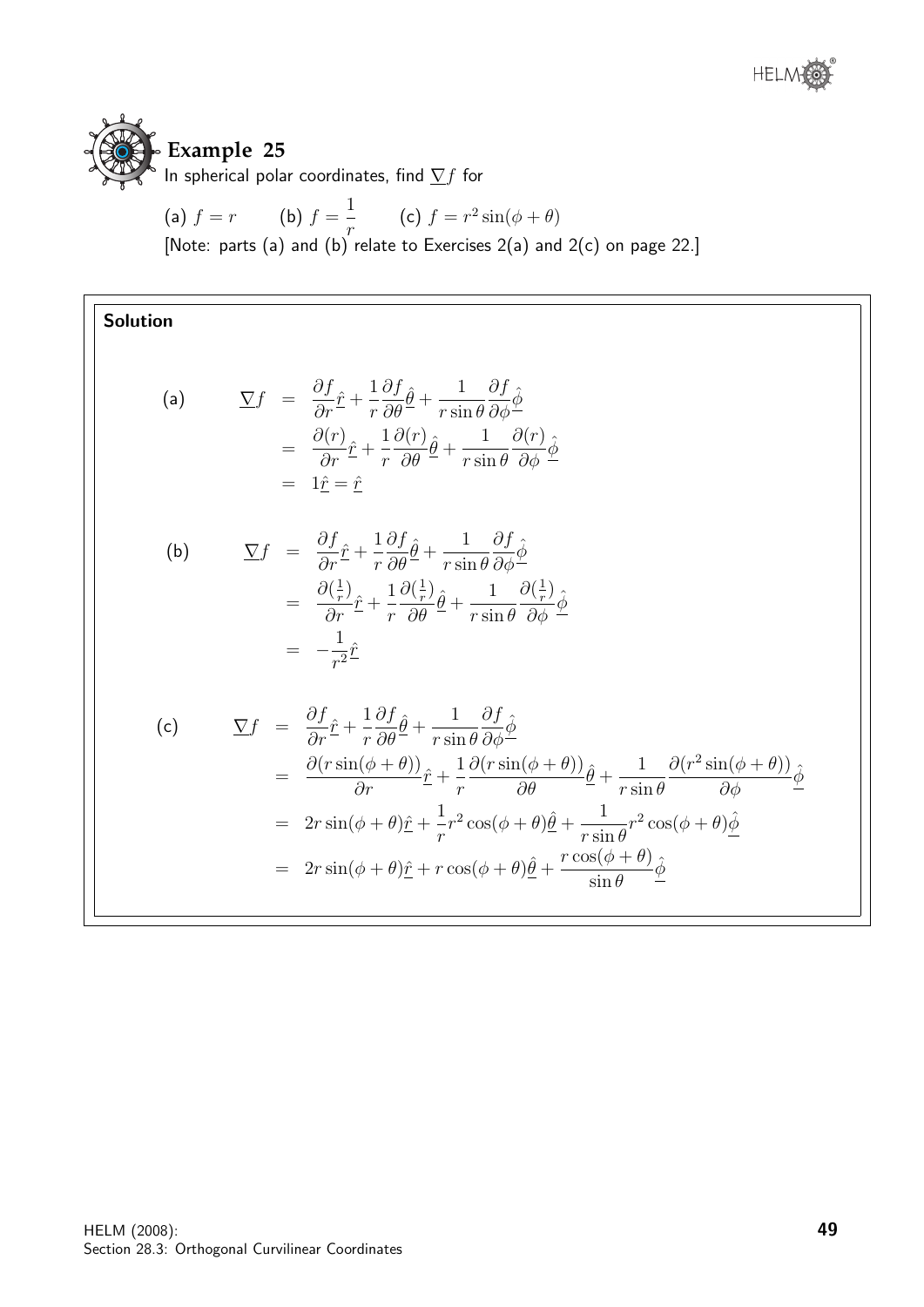

In spherical polar coordinates, find  $\sum f$  for

(a) 
$$
f = r
$$
 (b)  $f = \frac{1}{r}$  (c)  $f = r^2 \sin(\phi + \theta)$   
[Note: parts (a) and (b) relate to Exercises 2(a) and 2(c) on page 22.]

## Solution

(a) 
$$
\nabla f = \frac{\partial f}{\partial r} \hat{r} + \frac{1}{r} \frac{\partial f}{\partial \theta} \hat{\theta} + \frac{1}{r \sin \theta} \frac{\partial f}{\partial \phi} \hat{\phi}
$$

$$
= \frac{\partial (r)}{\partial r} \hat{r} + \frac{1}{r} \frac{\partial (r)}{\partial \theta} \hat{\theta} + \frac{1}{r \sin \theta} \frac{\partial (r)}{\partial \phi} \hat{\phi}
$$

$$
= 1 \hat{r} = \hat{r}
$$

(b) 
$$
\nabla f = \frac{\partial f}{\partial r} \hat{r} + \frac{1}{r} \frac{\partial f}{\partial \theta} \hat{\theta} + \frac{1}{r \sin \theta} \frac{\partial f}{\partial \phi} \hat{\phi}
$$

$$
= \frac{\partial (\frac{1}{r})}{\partial r} \hat{r} + \frac{1}{r} \frac{\partial (\frac{1}{r})}{\partial \theta} \hat{\theta} + \frac{1}{r \sin \theta} \frac{\partial (\frac{1}{r})}{\partial \phi} \hat{\phi}
$$

$$
= -\frac{1}{r^2} \hat{r}
$$

(c) 
$$
\nabla f = \frac{\partial f}{\partial r} \hat{r} + \frac{1}{r} \frac{\partial f}{\partial \theta} \hat{\theta} + \frac{1}{r \sin \theta} \frac{\partial f}{\partial \phi} \hat{\phi}
$$
  
\n
$$
= \frac{\partial (r \sin(\phi + \theta))}{\partial r} \hat{r} + \frac{1}{r} \frac{\partial (r \sin(\phi + \theta))}{\partial \theta} \hat{\theta} + \frac{1}{r \sin \theta} \frac{\partial (r^2 \sin(\phi + \theta))}{\partial \phi} \hat{\phi}
$$
  
\n
$$
= 2r \sin(\phi + \theta) \hat{r} + \frac{1}{r} r^2 \cos(\phi + \theta) \hat{\theta} + \frac{1}{r \sin \theta} r^2 \cos(\phi + \theta) \hat{\phi}
$$
  
\n
$$
= 2r \sin(\phi + \theta) \hat{r} + r \cos(\phi + \theta) \hat{\theta} + \frac{r \cos(\phi + \theta)}{\sin \theta} \hat{\phi}
$$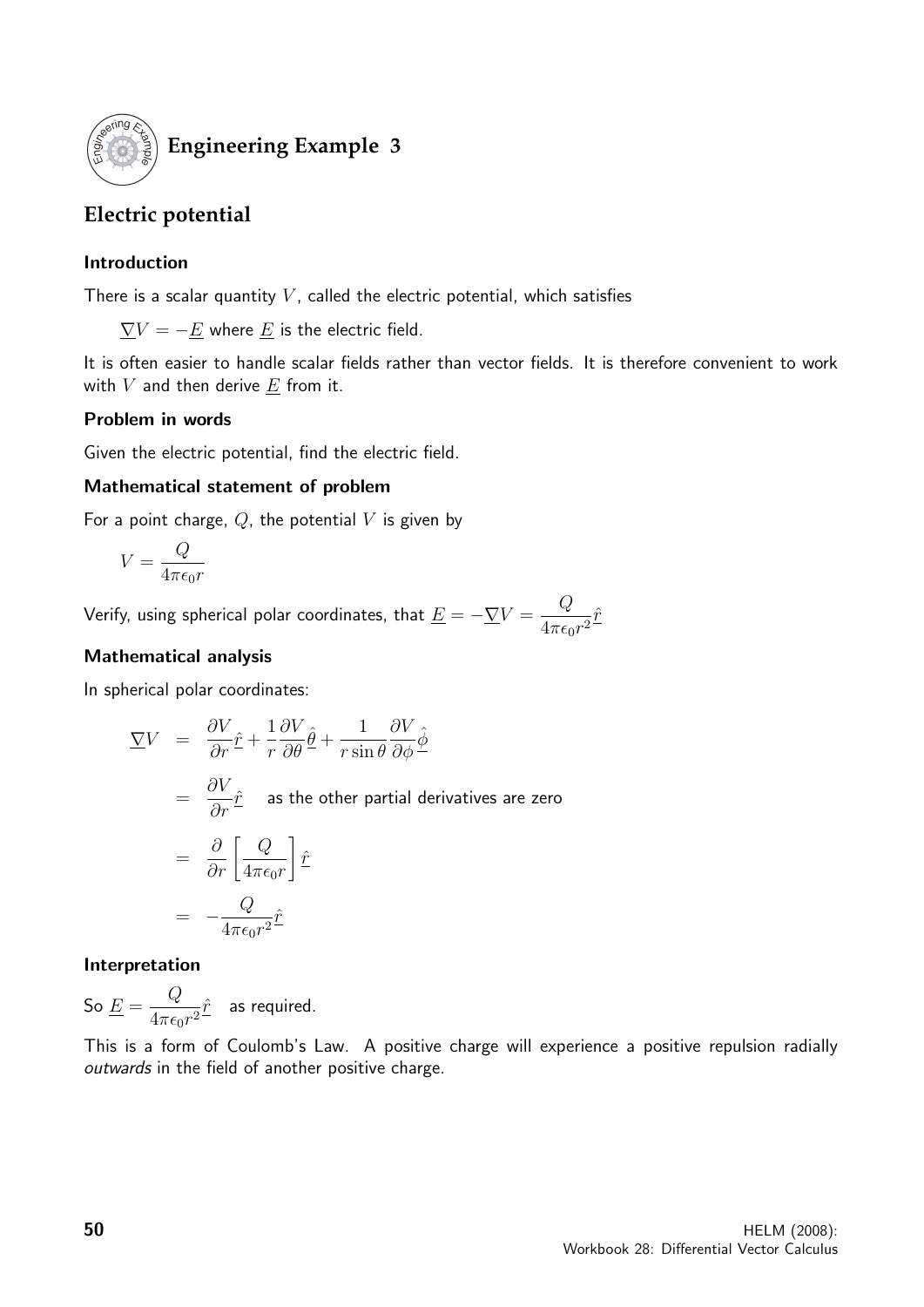

## **Engineering Example 3**

## **Electric potential**

#### Introduction

There is a scalar quantity  $V$ , called the electric potential, which satisfies

 $\overline{\nabla}V = -\underline{E}$  where  $\underline{E}$  is the electric field.

It is often easier to handle scalar fields rather than vector fields. It is therefore convenient to work with  $V$  and then derive  $E$  from it.

#### Problem in words

Given the electric potential, find the electric field.

#### Mathematical statement of problem

For a point charge,  $Q$ , the potential V is given by

$$
V=\frac{Q}{4\pi\epsilon_0 r}
$$

Verify, using spherical polar coordinates, that  $\underline{E}=-\underline{\nabla}V=\frac{Q}{4}$  $rac{q}{4\pi\epsilon_0r^2}\hat{r}$ 

#### Mathematical analysis

In spherical polar coordinates:

$$
\nabla V = \frac{\partial V}{\partial r}\hat{r} + \frac{1}{r}\frac{\partial V}{\partial \theta}\hat{\theta} + \frac{1}{r\sin\theta}\frac{\partial V}{\partial \phi}\hat{\phi}
$$
  
\n
$$
= \frac{\partial V}{\partial r}\hat{r} \quad \text{as the other partial derivatives are zero}
$$
  
\n
$$
= \frac{\partial}{\partial r}\left[\frac{Q}{4\pi\epsilon_0 r}\right]\hat{r}
$$
  
\n
$$
= -\frac{Q}{4\pi\epsilon_0 r^2}\hat{r}
$$

#### Interpretation

So  $\underline{E} =$  $\,Q$  $\frac{q}{4\pi\epsilon_0 r^2}\hat{r}$  as required.

This is a form of Coulomb's Law. A positive charge will experience a positive repulsion radially outwards in the field of another positive charge.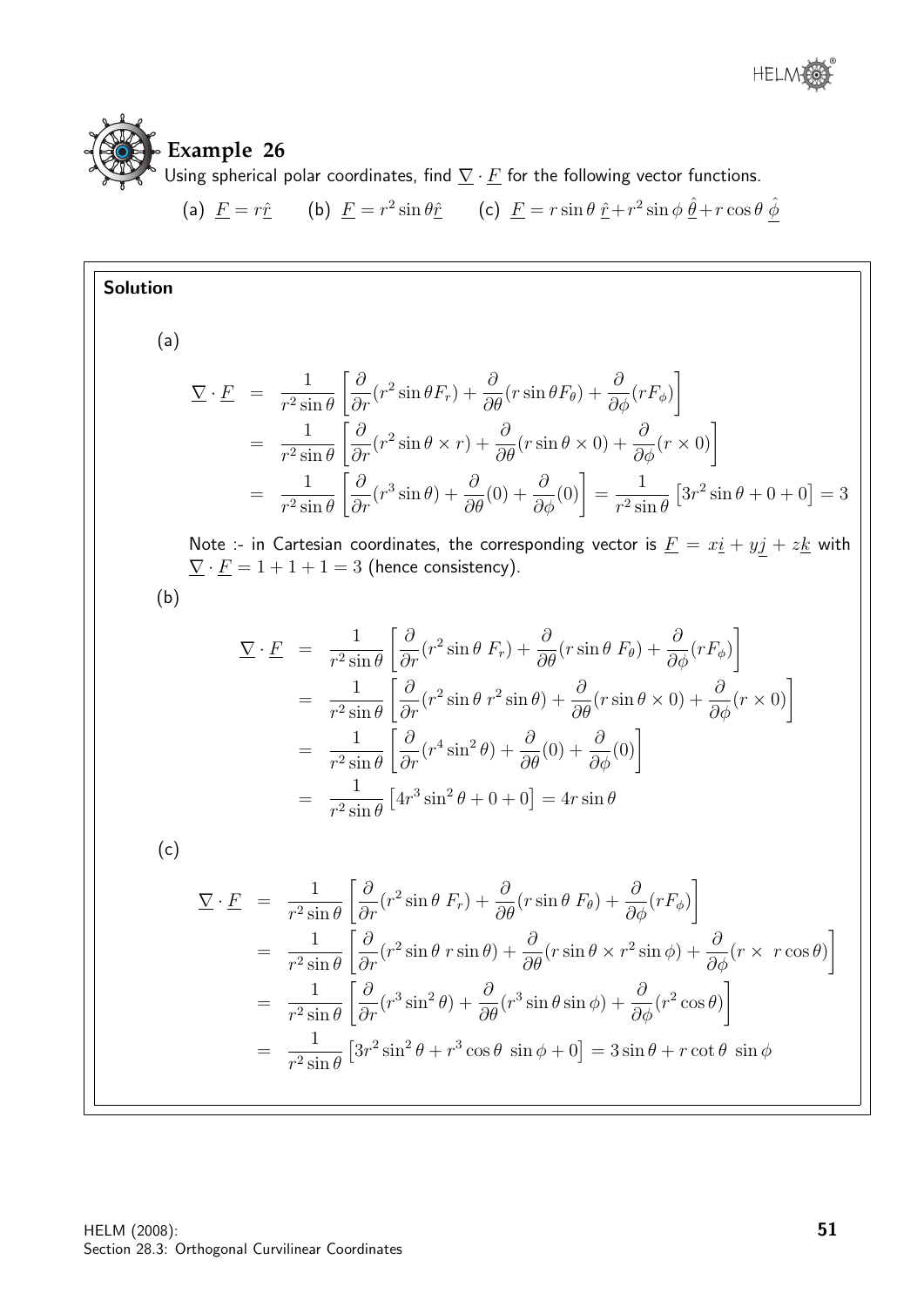

## **Example 26**

Using spherical polar coordinates, find  $\nabla \cdot E$  for the following vector functions.

(a)  $\underline{F} = r\hat{r}$  (b)  $\underline{F} = r^2 \sin \theta \hat{r}$  (c)  $\underline{F} = r \sin \theta \hat{r} + r^2 \sin \phi \hat{\theta} + r \cos \theta \hat{\phi}$ 

#### Solution

(a)

$$
\nabla \cdot \underline{F} = \frac{1}{r^2 \sin \theta} \left[ \frac{\partial}{\partial r} (r^2 \sin \theta F_r) + \frac{\partial}{\partial \theta} (r \sin \theta F_\theta) + \frac{\partial}{\partial \phi} (r F_\phi) \right]
$$
  
\n
$$
= \frac{1}{r^2 \sin \theta} \left[ \frac{\partial}{\partial r} (r^2 \sin \theta \times r) + \frac{\partial}{\partial \theta} (r \sin \theta \times 0) + \frac{\partial}{\partial \phi} (r \times 0) \right]
$$
  
\n
$$
= \frac{1}{r^2 \sin \theta} \left[ \frac{\partial}{\partial r} (r^3 \sin \theta) + \frac{\partial}{\partial \theta} (0) + \frac{\partial}{\partial \phi} (0) \right] = \frac{1}{r^2 \sin \theta} \left[ 3r^2 \sin \theta + 0 + 0 \right] = 3
$$

Note :- in Cartesian coordinates, the corresponding vector is  $\underline{F} = x\underline{i} + y\underline{j} + z\underline{k}$  with  $\underline{\nabla} \cdot \underline{F} = 1 + 1 + 1 = 3$  (hence consistency).

(b)

$$
\nabla \cdot \underline{F} = \frac{1}{r^2 \sin \theta} \left[ \frac{\partial}{\partial r} (r^2 \sin \theta \, F_r) + \frac{\partial}{\partial \theta} (r \sin \theta \, F_\theta) + \frac{\partial}{\partial \phi} (r F_\phi) \right]
$$
  
\n
$$
= \frac{1}{r^2 \sin \theta} \left[ \frac{\partial}{\partial r} (r^2 \sin \theta \, r^2 \sin \theta) + \frac{\partial}{\partial \theta} (r \sin \theta \times 0) + \frac{\partial}{\partial \phi} (r \times 0) \right]
$$
  
\n
$$
= \frac{1}{r^2 \sin \theta} \left[ \frac{\partial}{\partial r} (r^4 \sin^2 \theta) + \frac{\partial}{\partial \theta} (0) + \frac{\partial}{\partial \phi} (0) \right]
$$
  
\n
$$
= \frac{1}{r^2 \sin \theta} \left[ 4r^3 \sin^2 \theta + 0 + 0 \right] = 4r \sin \theta
$$

(c)

$$
\nabla \cdot \underline{F} = \frac{1}{r^2 \sin \theta} \left[ \frac{\partial}{\partial r} (r^2 \sin \theta \, F_r) + \frac{\partial}{\partial \theta} (r \sin \theta \, F_\theta) + \frac{\partial}{\partial \phi} (r F_\phi) \right]
$$
  
\n
$$
= \frac{1}{r^2 \sin \theta} \left[ \frac{\partial}{\partial r} (r^2 \sin \theta \, r \sin \theta) + \frac{\partial}{\partial \theta} (r \sin \theta \times r^2 \sin \phi) + \frac{\partial}{\partial \phi} (r \times r \cos \theta) \right]
$$
  
\n
$$
= \frac{1}{r^2 \sin \theta} \left[ \frac{\partial}{\partial r} (r^3 \sin^2 \theta) + \frac{\partial}{\partial \theta} (r^3 \sin \theta \sin \phi) + \frac{\partial}{\partial \phi} (r^2 \cos \theta) \right]
$$
  
\n
$$
= \frac{1}{r^2 \sin \theta} \left[ 3r^2 \sin^2 \theta + r^3 \cos \theta \sin \phi + 0 \right] = 3 \sin \theta + r \cot \theta \sin \phi
$$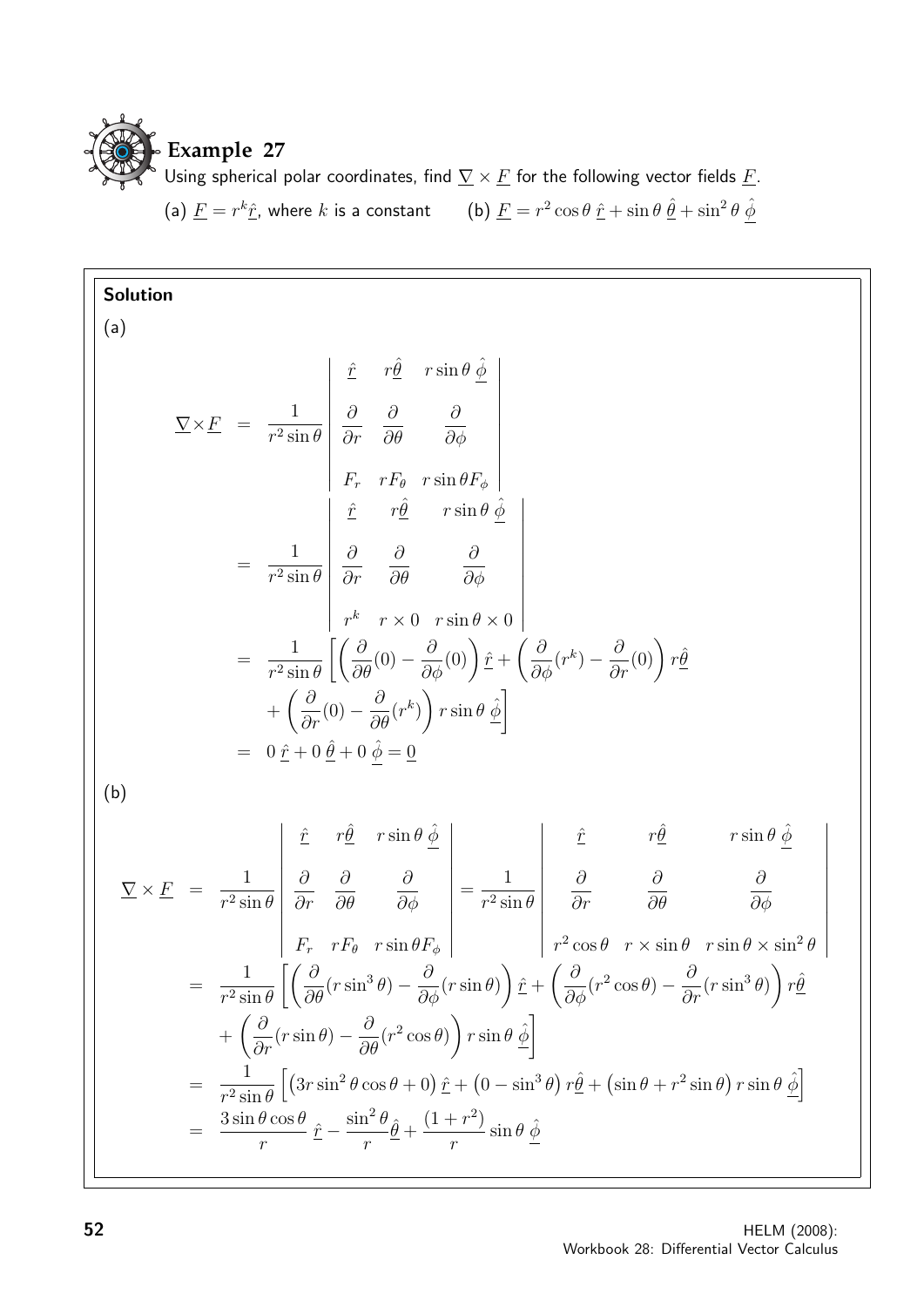

Using spherical polar coordinates, find  $\nabla \times \underline{F}$  for the following vector fields  $\underline{F}$ .

(a) 
$$
\underline{F} = r^k \hat{\underline{r}}
$$
, where *k* is a constant (b)  $\underline{F} = r^2 \cos \theta \hat{\underline{r}} + \sin \theta \hat{\underline{\theta}} + \sin^2 \theta \hat{\phi}$ 

**Solution**  
\n(a)  
\n
$$
\nabla \times \underline{F} = \frac{1}{r^2 \sin \theta} \begin{vmatrix} \hat{r} & r\hat{\theta} & r \sin \theta \hat{\phi} \\ \frac{\partial}{\partial r} & \frac{\partial}{\partial \theta} & \frac{\partial}{\partial \phi} \\ F_r & rF_{\theta} & r \sin \theta F_{\phi} \\ \frac{\hat{r}}{r^2} & r\hat{\theta} & \frac{\hat{r}}{r} \sin \theta \hat{\phi} \\ \frac{\hat{r}}{r^2} & r\hat{\theta} & \frac{\partial}{\partial \phi} \\ r^k & r \sin \theta \hat{\phi} \\ r^k & r \sin \theta \hat{\phi} \end{vmatrix}
$$
\n
$$
= \frac{1}{r^2 \sin \theta} \begin{bmatrix} \frac{\partial}{\partial r} & \frac{\partial}{\partial \theta} & \frac{\partial}{\partial \phi} \\ \frac{\partial}{\partial r} & \frac{\partial}{\partial \theta} & \frac{\partial}{\partial \phi} \\ r^k & r \sin \theta \hat{\phi} \end{bmatrix}
$$
\n
$$
+ \left( \frac{\partial}{\partial r} (0) - \frac{\partial}{\partial \theta} (r^k) \right) r \sin \theta \hat{\phi} \begin{bmatrix} \hat{r} & r\hat{\theta} & r \sin \theta \\ \frac{\partial}{\partial r} & \frac{\partial}{\partial \theta} & \frac{\partial}{\partial \phi} \end{bmatrix}
$$
\n(b)  
\n
$$
\nabla \times \underline{F} = \frac{1}{r^2 \sin \theta} \begin{vmatrix} \hat{r} & r\hat{\theta} & r \sin \theta \hat{\phi} \\ \frac{\partial}{\partial r} & \frac{\partial}{\partial \theta} & \frac{\partial}{\partial \phi} \\ \frac{\partial}{\partial r} & rF_{\theta} & r \sin \theta F_{\phi} \end{vmatrix} = \frac{1}{r^2 \sin \theta} \begin{vmatrix} \hat{r} & r\hat{\theta} & r \sin \theta \hat{\phi} \\ \frac{\partial}{\partial r} & \frac{\partial}{\partial \theta} & \frac{\partial}{\partial \phi} \\ r^2 \cos \theta & r \sin \theta & r \sin \theta \times \sin^2 \theta \end{vmatrix}
$$
\n
$$
= \frac{1}{r^2 \sin \theta} \left[ \left( \frac{\partial}{\partial \theta} (r \sin^3 \theta) - \frac{\partial}{\partial \phi} (r
$$